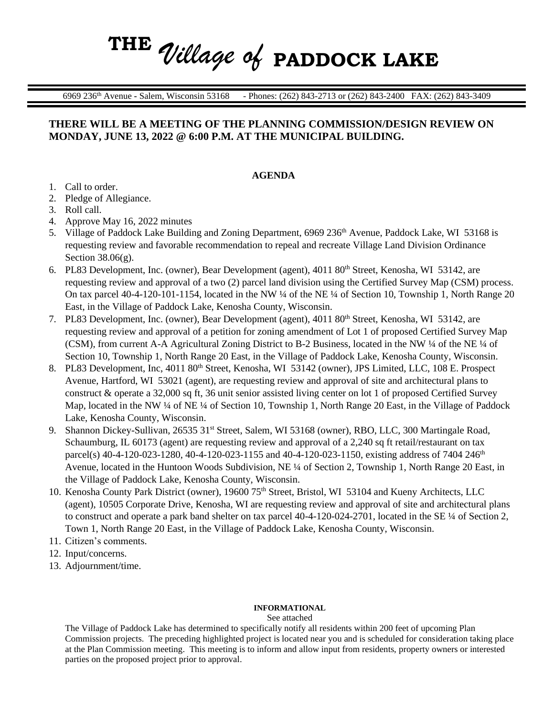## **THE** *Village of* **PADDOCK LAKE**

6969 236th Avenue **-** Salem, Wisconsin 53168 - Phones: (262) 843-2713 or (262) 843-2400 FAX: (262) 843-3409

### **THERE WILL BE A MEETING OF THE PLANNING COMMISSION/DESIGN REVIEW ON MONDAY, JUNE 13, 2022 @ 6:00 P.M. AT THE MUNICIPAL BUILDING.**

#### **AGENDA**

- 1. Call to order.
- 2. Pledge of Allegiance.
- 3. Roll call.
- 4. Approve May 16, 2022 minutes
- 5. Village of Paddock Lake Building and Zoning Department, 6969 236<sup>th</sup> Avenue, Paddock Lake, WI 53168 is requesting review and favorable recommendation to repeal and recreate Village Land Division Ordinance Section  $38.06(g)$ .
- 6. PL83 Development, Inc. (owner), Bear Development (agent), 4011 80<sup>th</sup> Street, Kenosha, WI 53142, are requesting review and approval of a two (2) parcel land division using the Certified Survey Map (CSM) process. On tax parcel  $40-4-120-101-1154$ , located in the NW ¼ of the NE ¼ of Section 10, Township 1, North Range 20 East, in the Village of Paddock Lake, Kenosha County, Wisconsin.
- 7. PL83 Development, Inc. (owner), Bear Development (agent), 4011 80th Street, Kenosha, WI 53142, are requesting review and approval of a petition for zoning amendment of Lot 1 of proposed Certified Survey Map (CSM), from current A-A Agricultural Zoning District to B-2 Business, located in the NW ¼ of the NE ¼ of Section 10, Township 1, North Range 20 East, in the Village of Paddock Lake, Kenosha County, Wisconsin.
- 8. PL83 Development, Inc, 4011 80<sup>th</sup> Street, Kenosha, WI 53142 (owner), JPS Limited, LLC, 108 E. Prospect Avenue, Hartford, WI 53021 (agent), are requesting review and approval of site and architectural plans to construct & operate a 32,000 sq ft, 36 unit senior assisted living center on lot 1 of proposed Certified Survey Map, located in the NW ¼ of NE ¼ of Section 10, Township 1, North Range 20 East, in the Village of Paddock Lake, Kenosha County, Wisconsin.
- 9. Shannon Dickey-Sullivan, 26535 31<sup>st</sup> Street, Salem, WI 53168 (owner), RBO, LLC, 300 Martingale Road, Schaumburg, IL 60173 (agent) are requesting review and approval of a 2,240 sq ft retail/restaurant on tax parcel(s) 40-4-120-023-1280, 40-4-120-023-1155 and 40-4-120-023-1150, existing address of 7404 246<sup>th</sup> Avenue, located in the Huntoon Woods Subdivision, NE ¼ of Section 2, Township 1, North Range 20 East, in the Village of Paddock Lake, Kenosha County, Wisconsin.
- 10. Kenosha County Park District (owner), 19600 75<sup>th</sup> Street, Bristol, WI 53104 and Kueny Architects, LLC (agent), 10505 Corporate Drive, Kenosha, WI are requesting review and approval of site and architectural plans to construct and operate a park band shelter on tax parcel 40-4-120-024-2701, located in the SE ¼ of Section 2, Town 1, North Range 20 East, in the Village of Paddock Lake, Kenosha County, Wisconsin.
- 11. Citizen's comments.
- 12. Input/concerns.
- 13. Adjournment/time.

#### **INFORMATIONAL**

See attached

The Village of Paddock Lake has determined to specifically notify all residents within 200 feet of upcoming Plan Commission projects. The preceding highlighted project is located near you and is scheduled for consideration taking place at the Plan Commission meeting. This meeting is to inform and allow input from residents, property owners or interested parties on the proposed project prior to approval.